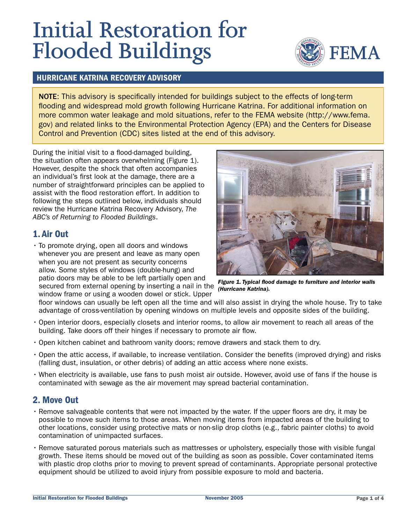# **Initial Restoration for Flooded Buildings**



#### HURRICANE KATRINA RECOVERY ADVISORY

NOTE: This advisory is specifically intended for buildings subject to the effects of long-term flooding and widespread mold growth following Hurricane Katrina. For additional information on more common water leakage and mold situations, refer to the FEMA website (http://www.fema. gov) and related links to the Environmental Protection Agency (EPA) and the Centers for Disease Control and Prevention (CDC) sites listed at the end of this advisory.

During the initial visit to a flood-damaged building, the situation often appears overwhelming (Figure 1). However, despite the shock that often accompanies an individual's first look at the damage, there are a number of straightforward principles can be applied to assist with the flood restoration effort. In addition to following the steps outlined below, individuals should review the Hurricane Katrina Recovery Advisory, The ABC's of Returning to Flooded Buildings.

## 1. Air Out

• To promote drying, open all doors and windows whenever you are present and leave as many open when you are not present as security concerns allow. Some styles of windows (double-hung) and patio doors may be able to be left partially open and secured from external opening by inserting a nail in the

window frame or using a wooden dowel or stick. Upper



Figure 1. Typical flood damage to furniture and interior walls (Hurricane Katrina).

floor windows can usually be left open all the time and will also assist in drying the whole house. Try to take advantage of cross-ventilation by opening windows on multiple levels and opposite sides of the building.

- Open interior doors, especially closets and interior rooms, to allow air movement to reach all areas of the building. Take doors off their hinges if necessary to promote air flow.
- Open kitchen cabinet and bathroom vanity doors; remove drawers and stack them to dry.
- Open the attic access, if available, to increase ventilation. Consider the benefits (improved drying) and risks (falling dust, insulation, or other debris) of adding an attic access where none exists.
- When electricity is available, use fans to push moist air outside. However, avoid use of fans if the house is contaminated with sewage as the air movement may spread bacterial contamination.

# 2. Move Out

- Remove salvageable contents that were not impacted by the water. If the upper floors are dry, it may be possible to move such items to those areas. When moving items from impacted areas of the building to other locations, consider using protective mats or non-slip drop cloths (e.g., fabric painter cloths) to avoid contamination of unimpacted surfaces.
- Remove saturated porous materials such as mattresses or upholstery, especially those with visible fungal growth. These items should be moved out of the building as soon as possible. Cover contaminated items with plastic drop cloths prior to moving to prevent spread of contaminants. Appropriate personal protective equipment should be utilized to avoid injury from possible exposure to mold and bacteria.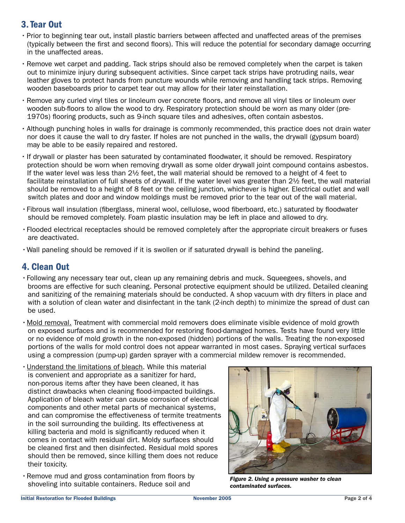# 3. Tear Out

- Prior to beginning tear out, install plastic barriers between affected and unaffected areas of the premises (typically between the first and second floors). This will reduce the potential for secondary damage occurring in the unaffected areas.
- Remove wet carpet and padding. Tack strips should also be removed completely when the carpet is taken out to minimize injury during subsequent activities. Since carpet tack strips have protruding nails, wear leather gloves to protect hands from puncture wounds while removing and handling tack strips. Removing wooden baseboards prior to carpet tear out may allow for their later reinstallation.
- Remove any curled vinyl tiles or linoleum over concrete floors, and remove all vinyl tiles or linoleum over wooden sub-floors to allow the wood to dry. Respiratory protection should be worn as many older (pre-1970s) flooring products, such as 9-inch square tiles and adhesives, often contain asbestos.
- Although punching holes in walls for drainage is commonly recommended, this practice does not drain water nor does it cause the wall to dry faster. If holes are not punched in the walls, the drywall (gypsum board) may be able to be easily repaired and restored.
- If drywall or plaster has been saturated by contaminated floodwater, it should be removed. Respiratory protection should be worn when removing drywall as some older drywall joint compound contains asbestos. If the water level was less than 2½ feet, the wall material should be removed to a height of 4 feet to facilitate reinstallation of full sheets of drywall. If the water level was greater than 2½ feet, the wall material should be removed to a height of 8 feet or the ceiling junction, whichever is higher. Electrical outlet and wall switch plates and door and window moldings must be removed prior to the tear out of the wall material.
- Fibrous wall insulation (fiberglass, mineral wool, cellulose, wood fiberboard, etc.) saturated by floodwater should be removed completely. Foam plastic insulation may be left in place and allowed to dry.
- Flooded electrical receptacles should be removed completely after the appropriate circuit breakers or fuses are deactivated.
- Wall paneling should be removed if it is swollen or if saturated drywall is behind the paneling.

# 4. Clean Out

- Following any necessary tear out, clean up any remaining debris and muck. Squeegees, shovels, and brooms are effective for such cleaning. Personal protective equipment should be utilized. Detailed cleaning and sanitizing of the remaining materials should be conducted. A shop vacuum with dry filters in place and with a solution of clean water and disinfectant in the tank (2-inch depth) to minimize the spread of dust can be used.
- Mold removal. Treatment with commercial mold removers does eliminate visible evidence of mold growth on exposed surfaces and is recommended for restoring flood-damaged homes. Tests have found very little or no evidence of mold growth in the non-exposed (hidden) portions of the walls. Treating the non-exposed portions of the walls for mold control does not appear warranted in most cases. Spraying vertical surfaces using a compression (pump-up) garden sprayer with a commercial mildew remover is recommended.
- Understand the limitations of bleach. While this material is convenient and appropriate as a sanitizer for hard, non-porous items after they have been cleaned, it has distinct drawbacks when cleaning flood-impacted buildings. Application of bleach water can cause corrosion of electrical components and other metal parts of mechanical systems, and can compromise the effectiveness of termite treatments in the soil surrounding the building. Its effectiveness at killing bacteria and mold is significantly reduced when it comes in contact with residual dirt. Moldy surfaces should be cleaned first and then disinfected. Residual mold spores should then be removed, since killing them does not reduce their toxicity.
- Remove mud and gross contamination from floors by Refriove mud and gross contamination from loors by Figure 2. Using a pressure washer to clean<br>Shoveling into suitable containers. Reduce soil and Figure 2. Using a pressure washer to clean



contaminated surfaces.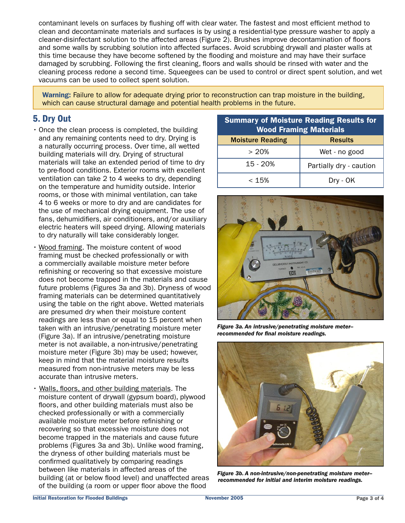contaminant levels on surfaces by flushing off with clear water. The fastest and most efficient method to clean and decontaminate materials and surfaces is by using a residential-type pressure washer to apply a cleaner-disinfectant solution to the affected areas (Figure 2). Brushes improve decontamination of floors and some walls by scrubbing solution into affected surfaces. Avoid scrubbing drywall and plaster walls at this time because they have become softened by the flooding and moisture and may have their surface damaged by scrubbing. Following the first cleaning, floors and walls should be rinsed with water and the cleaning process redone a second time. Squeegees can be used to control or direct spent solution, and wet vacuums can be used to collect spent solution.

Warning: Failure to allow for adequate drying prior to reconstruction can trap moisture in the building, which can cause structural damage and potential health problems in the future.

# 5. Dry Out

- Once the clean process is completed, the building and any remaining contents need to dry. Drying is a naturally occurring process. Over time, all wetted building materials will dry. Drying of structural materials will take an extended period of time to dry to pre-flood conditions. Exterior rooms with excellent ventilation can take 2 to 4 weeks to dry, depending on the temperature and humidity outside. Interior rooms, or those with minimal ventilation, can take 4 to 6 weeks or more to dry and are candidates for the use of mechanical drying equipment. The use of fans, dehumidifiers, air conditioners, and/or auxiliary electric heaters will speed drying. Allowing materials to dry naturally will take considerably longer.
- Wood framing. The moisture content of wood framing must be checked professionally or with a commercially available moisture meter before refinishing or recovering so that excessive moisture does not become trapped in the materials and cause future problems (Figures 3a and 3b). Dryness of wood framing materials can be determined quantitatively using the table on the right above. Wetted materials are presumed dry when their moisture content readings are less than or equal to 15 percent when taken with an intrusive/penetrating moisture meter (Figure 3a). If an intrusive/penetrating moisture meter is not available, a non-intrusive/penetrating moisture meter (Figure 3b) may be used; however, keep in mind that the material moisture results measured from non-intrusive meters may be less accurate than intrusive meters.
- Walls, floors, and other building materials. The moisture content of drywall (gypsum board), plywood floors, and other building materials must also be checked professionally or with a commercially available moisture meter before refinishing or recovering so that excessive moisture does not become trapped in the materials and cause future problems (Figures 3a and 3b). Unlike wood framing, the dryness of other building materials must be confirmed qualitatively by comparing readings between like materials in affected areas of the building (at or below flood level) and unaffected areas of the building (a room or upper floor above the flood

| <b>Summary of Moisture Reading Results for</b><br><b>Wood Framing Materials</b> |                         |
|---------------------------------------------------------------------------------|-------------------------|
| <b>Moisture Reading</b>                                                         | <b>Results</b>          |
| > 20%                                                                           | Wet - no good           |
| $15 - 20%$                                                                      | Partially dry - caution |
| < 15%                                                                           | Dry - OK                |



Figure 3a. An intrusive/penetrating moisture meter- recommended for final moisture readings.



Figure 3b. A non-intrusive/non-penetrating moisture meter- recommended for initial and interim moisture readings.